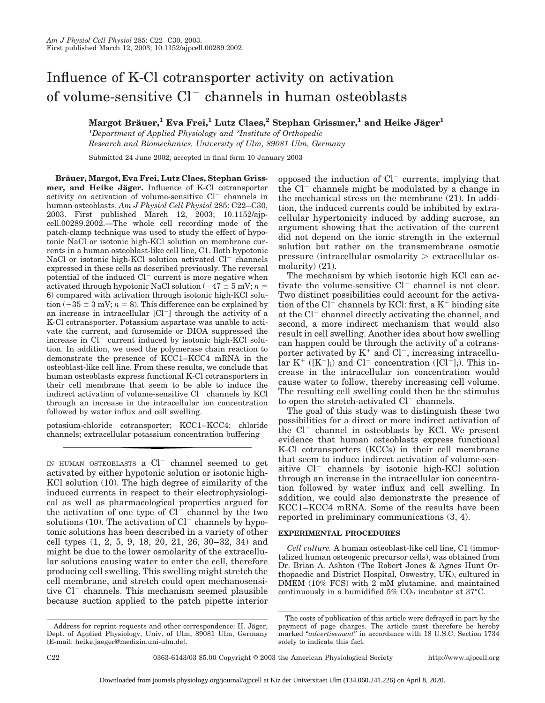# Influence of K-Cl cotransporter activity on activation of volume-sensitive  $Cl^-$  channels in human osteoblasts

**Margot Bräuer,<sup>1</sup> Eva Frei,<sup>1</sup> Lutz Claes,<sup>2</sup> Stephan Grissmer,<sup>1</sup> and Heike Jäger<sup>1</sup>** 

1 *Department of Applied Physiology and* <sup>2</sup> *Institute of Orthopedic Research and Biomechanics, University of Ulm, 89081 Ulm, Germany*

Submitted 24 June 2002; accepted in final form 10 January 2003

**Bra¨uer, Margot, Eva Frei, Lutz Claes, Stephan Griss**mer, and Heike Jäger. Influence of K-Cl cotransporter activity on activation of volume-sensitive  $Cl^-$  channels in human osteoblasts. *Am J Physiol Cell Physiol* 285: C22–C30, 2003. First published March 12, 2003; 10.1152/ajpcell.00289.2002.—The whole cell recording mode of the patch-clamp technique was used to study the effect of hypotonic NaCl or isotonic high-KCl solution on membrane currents in a human osteoblast-like cell line, C1. Both hypotonic NaCl or isotonic high-KCl solution activated  $Cl^-$  channels expressed in these cells as described previously. The reversal potential of the induced  $Cl^-$  current is more negative when activated through hypotonic NaCl solution  $(-47 \pm 5 \text{ mV}; n =$ 6) compared with activation through isotonic high-KCl solution  $(-35 \pm 3 \text{ mV}; n = 8)$ . This difference can be explained by an increase in intracellular  $[Cl^-]$  through the activity of a K-Cl cotransporter. Potassium aspartate was unable to activate the current, and furosemide or DIOA suppressed the increase in  $Cl^-$  current induced by isotonic high-KCl solution. In addition, we used the polymerase chain reaction to demonstrate the presence of KCC1–KCC4 mRNA in the osteoblast-like cell line. From these results, we conclude that human osteoblasts express functional K-Cl cotransporters in their cell membrane that seem to be able to induce the indirect activation of volume-sensitive  $Cl^-$  channels by KCl through an increase in the intracellular ion concentration followed by water influx and cell swelling.

potasium-chloride cotransporter; KCC1–KCC4; chloride channels; extracellular potassium concentration buffering

IN HUMAN OSTEOBLASTS a  $Cl^-$  channel seemed to get activated by either hypotonic solution or isotonic high-KCl solution (10). The high degree of similarity of the induced currents in respect to their electrophysiological as well as pharmacological properties argued for the activation of one type of  $Cl^-$  channel by the two solutions (10). The activation of  $Cl^-$  channels by hypotonic solutions has been described in a variety of other cell types (1, 2, 5, 9, 18, 20, 21, 26, 30–32, 34) and might be due to the lower osmolarity of the extracellular solutions causing water to enter the cell, therefore producing cell swelling. This swelling might stretch the cell membrane, and stretch could open mechanosensitive  $Cl^-$  channels. This mechanism seemed plausible because suction applied to the patch pipette interior opposed the induction of  $Cl^-$  currents, implying that the  $Cl^-$  channels might be modulated by a change in the mechanical stress on the membrane (21). In addition, the induced currents could be inhibited by extracellular hypertonicity induced by adding sucrose, an argument showing that the activation of the current did not depend on the ionic strength in the external solution but rather on the transmembrane osmotic pressure (intracellular osmolarity  $>$  extracellular osmolarity) (21).

The mechanism by which isotonic high KCl can activate the volume-sensitive  $Cl^-$  channel is not clear. Two distinct possibilities could account for the activation of the  $Cl^-$  channels by KCl: first, a  $K^+$  binding site at the  $Cl^-$  channel directly activating the channel, and second, a more indirect mechanism that would also result in cell swelling. Another idea about how swelling can happen could be through the activity of a cotransporter activated by  $K^+$  and  $Cl^-$ , increasing intracellu- $\text{lar } K^+$  ([K<sup>+</sup>]<sub>i</sub>) and Cl<sup>-</sup> concentration ([Cl<sup>-</sup>]<sub>i</sub>). This increase in the intracellular ion concentration would cause water to follow, thereby increasing cell volume. The resulting cell swelling could then be the stimulus to open the stretch-activated  $Cl^-$  channels.

The goal of this study was to distinguish these two possibilities for a direct or more indirect activation of the  $Cl^-$  channel in osteoblasts by KCl. We present evidence that human osteoblasts express functional K-Cl cotransporters (KCCs) in their cell membrane that seem to induce indirect activation of volume-sensitive  $Cl^-$  channels by isotonic high-KCl solution through an increase in the intracellular ion concentration followed by water influx and cell swelling. In addition, we could also demonstrate the presence of KCC1–KCC4 mRNA. Some of the results have been reported in preliminary communications (3, 4).

#### **EXPERIMENTAL PROCEDURES**

*Cell culture.* A human osteoblast-like cell line, C1 (immortalized human osteogenic precursor cells), was obtained from Dr. Brian A. Ashton (The Robert Jones & Agnes Hunt Orthopaedic and District Hospital, Oswestry, UK), cultured in DMEM (10% FCS) with 2 mM glutamine, and maintained continuously in a humidified  $5\%$  CO<sub>2</sub> incubator at 37°C.

Address for reprint requests and other correspondence: H. Jäger, Dept. of Applied Physiology, Univ. of Ulm, 89081 Ulm, Germany (E-mail: heike.jaeger@medizin.uni-ulm.de).

The costs of publication of this article were defrayed in part by the payment of page charges. The article must therefore be hereby marked "advertisement" in accordance with 18 U.S.C. Section 1734 solely to indicate this fact.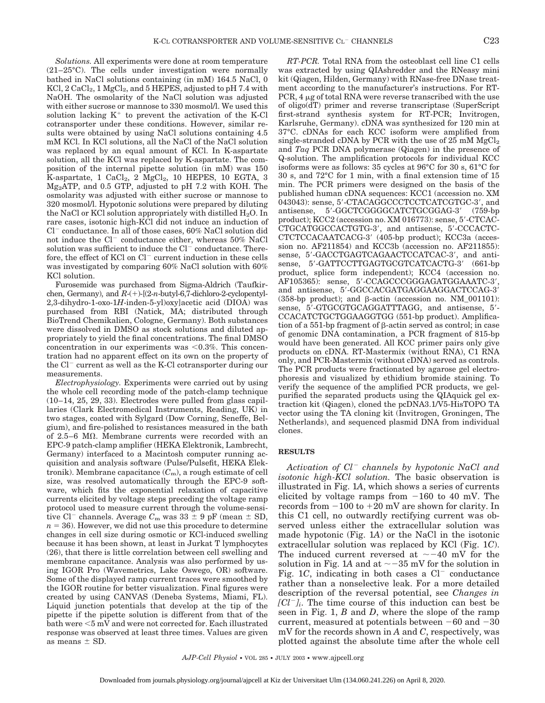*Solutions.* All experiments were done at room temperature (21–25°C). The cells under investigation were normally bathed in NaCl solutions containing (in mM) 164.5 NaCl, 0  $KCl, 2 CaCl<sub>2</sub>, 1 MgCl<sub>2</sub>, and 5 HEPES, adjusted to pH 7.4 with$ NaOH. The osmolarity of the NaCl solution was adjusted with either sucrose or mannose to 330 mosmol/l. We used this solution lacking  $K^+$  to prevent the activation of the K-Cl cotransporter under these conditions. However, similar results were obtained by using NaCl solutions containing 4.5 mM KCl. In KCl solutions, all the NaCl of the NaCl solution was replaced by an equal amount of KCl. In K-aspartate solution, all the KCl was replaced by K-aspartate. The composition of the internal pipette solution (in mM) was 150 K-aspartate, 1 CaCl<sub>2</sub>, 2 MgCl<sub>2</sub>, 10 HEPES, 10 EGTA, 3 Mg2ATP, and 0.5 GTP, adjusted to pH 7.2 with KOH. The osmolarity was adjusted with either sucrose or mannose to 320 mosmol/l. Hypotonic solutions were prepared by diluting the NaCl or KCl solution appropriately with distilled  $H_2O$ . In rare cases, isotonic high-KCl did not induce an induction of  $Cl^-$  conductance. In all of those cases,  $60\%$  NaCl solution did not induce the Cl $^-$  conductance either, whereas 50% NaCl solution was sufficient to induce the  $Cl^-$  conductance. Therefore, the effect of KCl on  $Cl^-$  current induction in these cells was investigated by comparing 60% NaCl solution with 60% KCl solution.

Furosemide was purchased from Sigma-Aldrich (Taufkirchen, Germany), and  $R + (-1)(2-n$ -butyl-6,7-dichloro-2-cyclopentyl-2,3-dihydro-1-oxo-1*H*-inden-5-yl)oxy]acetic acid (DIOA) was purchased from RBI (Natick, MA; distributed through BioTrend Chemikalien, Cologne, Germany). Both substances were dissolved in DMSO as stock solutions and diluted appropriately to yield the final concentrations. The final DMSO concentration in our experiments was  $< 0.3\%$ . This concentration had no apparent effect on its own on the property of the  $Cl^-$  current as well as the K-Cl cotransporter during our measurements.

*Electrophysiology.* Experiments were carried out by using the whole cell recording mode of the patch-clamp technique (10–14, 25, 29, 33). Electrodes were pulled from glass capillaries (Clark Electromedical Instruments, Reading, UK) in two stages, coated with Sylgard (Dow Corning, Seneffe, Belgium), and fire-polished to resistances measured in the bath of 2.5–6  $\text{M}\Omega$ . Membrane currents were recorded with an EPC-9 patch-clamp amplifier (HEKA Elektronik, Lambrecht, Germany) interfaced to a Macintosh computer running acquisition and analysis software (Pulse/Pulsefit, HEKA Elektronik). Membrane capacitance  $(C<sub>m</sub>)$ , a rough estimate of cell size, was resolved automatically through the EPC-9 software, which fits the exponential relaxation of capacitive currents elicited by voltage steps preceding the voltage ramp protocol used to measure current through the volume-sensitive Cl<sup>-</sup> channels. Average  $C_m$  was  $33 \pm 9$  pF (mean  $\pm$  SD,  $n = 36$ ). However, we did not use this procedure to determine changes in cell size during osmotic or KCl-induced swelling because it has been shown, at least in Jurkat T lymphocytes (26), that there is little correlation between cell swelling and membrane capacitance. Analysis was also performed by using IGOR Pro (Wavemetrics, Lake Oswego, OR) software. Some of the displayed ramp current traces were smoothed by the IGOR routine for better visualization. Final figures were created by using CANVAS (Deneba Systems, Miami, FL). Liquid junction potentials that develop at the tip of the pipette if the pipette solution is different from that of the bath were  $<$ 5 mV and were not corrected for. Each illustrated response was observed at least three times. Values are given as means  $\pm$  SD.

*RT-PCR.* Total RNA from the osteoblast cell line C1 cells was extracted by using QIAshredder and the RNeasy mini kit (Qiagen, Hilden, Germany) with RNase-free DNase treatment according to the manufacturer's instructions. For RT-PCR,  $4 \mu$ g of total RNA were reverse transcribed with the use of oligo(dT) primer and reverse transcriptase (SuperScript first-strand synthesis system for RT-PCR; Invitrogen, Karlsruhe, Germany). cDNA was synthesized for 120 min at 37°C. cDNAs for each KCC isoform were amplified from single-stranded cDNA by PCR with the use of  $25 \text{ mM } \text{MgCl}_2$ and *Taq* PCR DNA polymerase (Qiagen) in the presence of Q-solution. The amplification protocols for individual KCC isoforms were as follows: 35 cycles at 96°C for 30 s, 61°C for 30 s, and 72°C for 1 min, with a final extension time of 15 min. The PCR primers were designed on the basis of the published human cDNA sequences: KCC1 (accession no. XM 043043): sense, 5'-CTACAGGCCCTCCTCATCGTGC-3', and antisense, 5'-GGCTCGGGGCATCTGCGGAG-3' (759-bp) product); KCC2 (accession no. XM 016773): sense, 5'-CTCAC-CTGCATGGCCACTGTG-3', and antisense, 5'-CCCACTC-CTCTCCACAATCACG-3 (405-bp product); KCC3a (accession no. AF211854) and KCC3b (accession no. AF211855): sense, 5'-GACCTGAGTCAGAACTCCATCAC-3', and antisense, 5'-GATTCCTTGAGTGCGTCATCACTG-3' (661-bp) product, splice form independent); KCC4 (accession no. AF105365): sense, 5'-CCAGCCCGGGAGATGGAAATC-3', and antisense, 5'-GGCCACGATGAGGAAGGACTCCAG-3' (358-bp product); and  $\beta$ -actin (accession no. NM\_001101): sense, 5'-GTGCGTGCAGGATTTAGG, and antisense, 5'-CCACATCTGCTGGAAGGTGG (551-bp product). Amplification of a  $551$ -bp fragment of  $\beta$ -actin served as control; in case of genomic DNA contamination, a PCR fragment of 815-bp would have been generated. All KCC primer pairs only give products on cDNA. RT-Mastermix (without RNA), C1 RNA only, and PCR-Mastermix (without cDNA) served as controls. The PCR products were fractionated by agarose gel electrophoresis and visualized by ethidium bromide staining. To verify the sequence of the amplified PCR products, we gelpurified the separated products using the QIAquick gel extraction kit (Qiagen), cloned the pcDNA3.1/V5-HisTOPO TA vector using the TA cloning kit (Invitrogen, Groningen, The Netherlands), and sequenced plasmid DNA from individual clones.

## **RESULTS**

*Activation of Cl channels by hypotonic NaCl and isotonic high-KCl solution.* The basic observation is illustrated in Fig. 1*A*, which shows a series of currents elicited by voltage ramps from  $-160$  to 40 mV. The records from  $-100$  to  $+20$  mV are shown for clarity. In this C1 cell, no outwardly rectifying current was observed unless either the extracellular solution was made hypotonic (Fig. 1*A*) or the NaCl in the isotonic extracellular solution was replaced by KCl (Fig. 1*C*). The induced current reversed at  $\sim$  -40 mV for the solution in Fig. 1A and at  $\sim$  -35 mV for the solution in Fig. 1*C*, indicating in both cases a  $Cl^-$  conductance rather than a nonselective leak. For a more detailed description of the reversal potential, see *Changes in*  $[Cl<sup>-</sup>]$ . The time course of this induction can best be seen in Fig. 1, *B* and *D*, where the slope of the ramp current, measured at potentials between  $-60$  and  $-30$ mV for the records shown in *A* and *C*, respectively, was plotted against the absolute time after the whole cell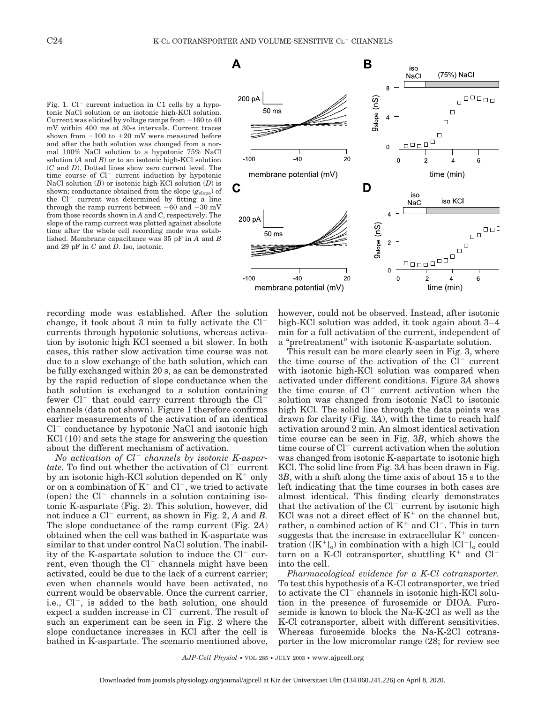Fig. 1.  $Cl^-$  current induction in C1 cells by a hypotonic NaCl solution or an isotonic high-KCl solution. Current was elicited by voltage ramps from  $-160$  to 40 mV within 400 ms at 30-s intervals. Current traces shown from  $-100$  to  $+20$  mV were measured before and after the bath solution was changed from a normal 100% NaCl solution to a hypotonic 75% NaCl solution (*A* and *B*) or to an isotonic high-KCl solution (*C* and *D*). Dotted lines show zero current level. The time course of  $Cl^-$  current induction by hypotonic NaCl solution (*B*) or isotonic high-KCl solution (*D*) is shown; conductance obtained from the slope (*g*slope) of the  $Cl^-$  current was determined by fitting a line through the ramp current between  $-60$  and  $-30$  mV from those records shown in *A* and *C*, respectively. The slope of the ramp current was plotted against absolute time after the whole cell recording mode was established. Membrane capacitance was 35 pF in *A* and *B* and 29 pF in *C* and *D*. Iso, isotonic.



recording mode was established. After the solution change, it took about 3 min to fully activate the Cl currents through hypotonic solutions, whereas activation by isotonic high KCl seemed a bit slower. In both cases, this rather slow activation time course was not due to a slow exchange of the bath solution, which can be fully exchanged within 20 s, as can be demonstrated by the rapid reduction of slope conductance when the bath solution is exchanged to a solution containing fewer  $Cl^-$  that could carry current through the  $Cl^$ channels (data not shown). Figure 1 therefore confirms earlier measurements of the activation of an identical  $Cl^-$  conductance by hypotonic NaCl and isotonic high KCl (10) and sets the stage for answering the question about the different mechanism of activation.

*No activation of Cl channels by isotonic K-aspartate.* To find out whether the activation of Cl<sup>-</sup> current by an isotonic high-KCl solution depended on  $K^+$  only or on a combination of  $K^+$  and  $Cl^-$ , we tried to activate (open) the  $Cl^-$  channels in a solution containing isotonic K-aspartate (Fig. 2). This solution, however, did not induce a  $Cl^-$  current, as shown in Fig. 2, A and B. The slope conductance of the ramp current (Fig. 2*A*) obtained when the cell was bathed in K-aspartate was similar to that under control NaCl solution. The inability of the K-aspartate solution to induce the  $Cl^-$  current, even though the  $Cl^-$  channels might have been activated, could be due to the lack of a current carrier; even when channels would have been activated, no current would be observable. Once the current carrier, i.e.,  $Cl^-$ , is added to the bath solution, one should expect a sudden increase in  $Cl^-$  current. The result of such an experiment can be seen in Fig. 2 where the slope conductance increases in KCl after the cell is bathed in K-aspartate. The scenario mentioned above,

however, could not be observed. Instead, after isotonic high-KCl solution was added, it took again about 3–4 min for a full activation of the current, independent of a "pretreatment" with isotonic K-aspartate solution.

This result can be more clearly seen in Fig. 3, where the time course of the activation of the  $Cl^-$  current with isotonic high-KCl solution was compared when activated under different conditions. Figure 3*A* shows the time course of  $Cl^-$  current activation when the solution was changed from isotonic NaCl to isotonic high KCl. The solid line through the data points was drawn for clarity (Fig. 3*A*), with the time to reach half activation around 2 min. An almost identical activation time course can be seen in Fig. 3*B*, which shows the time course of  $Cl^-$  current activation when the solution was changed from isotonic K-aspartate to isotonic high KCl. The solid line from Fig. 3*A* has been drawn in Fig. 3*B*, with a shift along the time axis of about 15 s to the left indicating that the time courses in both cases are almost identical. This finding clearly demonstrates that the activation of the  $Cl^-$  current by isotonic high KCl was not a direct effect of  $K^+$  on the channel but, rather, a combined action of  $K^+$  and  $Cl^-$ . This in turn suggests that the increase in extracellular  $K^+$  concentration  $([K^+]_0)$  in combination with a high  $[C]_0^-$  could turn on a K-Cl cotransporter, shuttling  $K^+$  and  $Cl^$ into the cell.

*Pharmacological evidence for a K-Cl cotransporter.* To test this hypothesis of a K-Cl cotransporter, we tried to activate the  $Cl^-$  channels in isotonic high-KCl solution in the presence of furosemide or DIOA. Furosemide is known to block the Na-K-2Cl as well as the K-Cl cotransporter, albeit with different sensitivities. Whereas furosemide blocks the Na-K-2Cl cotransporter in the low micromolar range (28; for review see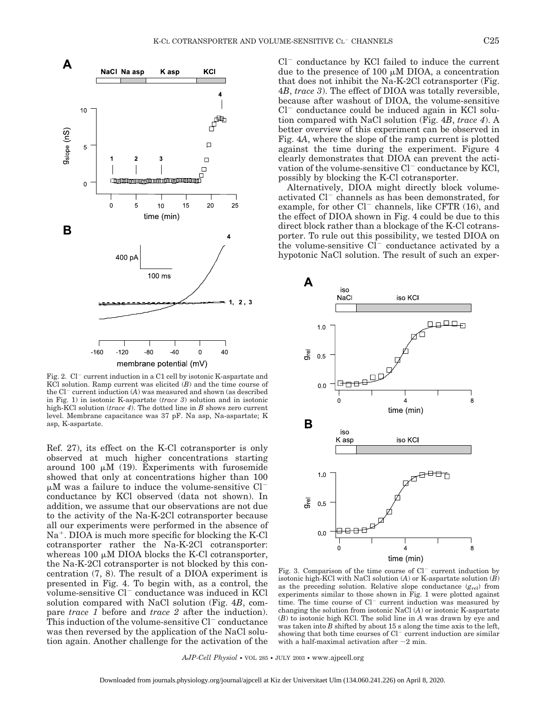

membrane potential (mV)

Fig. 2.  $Cl^-$  current induction in a C1 cell by isotonic K-aspartate and KCl solution. Ramp current was elicited  $(B)$  and the time course of the  $Cl^-$  current induction  $(A)$  was measured and shown (as described in Fig. 1) in isotonic K-aspartate (*trace 3*) solution and in isotonic high-KCl solution (*trace 4*). The dotted line in *B* shows zero current level. Membrane capacitance was 37 pF. Na asp, Na-aspartate; K asp, K-aspartate.

Ref. 27), its effect on the K-Cl cotransporter is only observed at much higher concentrations starting around 100  $\mu$ M (19). Experiments with furosemide showed that only at concentrations higher than 100  $\mu$ M was a failure to induce the volume-sensitive Cl<sup>-</sup> conductance by KCl observed (data not shown). In addition, we assume that our observations are not due to the activity of the Na-K-2Cl cotransporter because all our experiments were performed in the absence of  $Na<sup>+</sup>$ . DIOA is much more specific for blocking the K-Cl cotransporter rather the Na-K-2Cl cotransporter: whereas 100  $\mu$ M DIOA blocks the K-Cl cotransporter, the Na-K-2Cl cotransporter is not blocked by this concentration (7, 8). The result of a DIOA experiment is presented in Fig. 4. To begin with, as a control, the volume-sensitive Cl<sup>-</sup> conductance was induced in KCl solution compared with NaCl solution (Fig. 4*B*, compare *trace 1* before and *trace 2* after the induction). This induction of the volume-sensitive  $Cl^-$  conductance was then reversed by the application of the NaCl solution again. Another challenge for the activation of the  $Cl^-$  conductance by KCl failed to induce the current due to the presence of 100  $\mu$ M DIOA, a concentration that does not inhibit the Na-K-2Cl cotransporter (Fig. 4*B*, *trace 3*). The effect of DIOA was totally reversible, because after washout of DIOA, the volume-sensitive  $Cl^-$  conductance could be induced again in KCl solution compared with NaCl solution (Fig. 4*B*, *trace 4*). A better overview of this experiment can be observed in Fig. 4*A*, where the slope of the ramp current is plotted against the time during the experiment. Figure 4 clearly demonstrates that DIOA can prevent the activation of the volume-sensitive  $Cl^-$  conductance by KCl, possibly by blocking the K-Cl cotransporter.

Alternatively, DIOA might directly block volumeactivated  $Cl^-$  channels as has been demonstrated, for example, for other  $Cl^-$  channels, like CFTR (16), and the effect of DIOA shown in Fig. 4 could be due to this direct block rather than a blockage of the K-Cl cotransporter. To rule out this possibility, we tested DIOA on the volume-sensitive  $CI^-$  conductance activated by a hypotonic NaCl solution. The result of such an exper-



Fig. 3. Comparison of the time course of  $Cl^-$  current induction by isotonic high-KCl with NaCl solution (*A*) or K-aspartate solution (*B*) as the preceding solution. Relative slope conductance (*g*rel) from experiments similar to those shown in Fig. 1 were plotted against time. The time course of  $Cl^-$  current induction was measured by changing the solution from isotonic NaCl (*A*) or isotonic K-aspartate (*B*) to isotonic high KCl. The solid line in *A* was drawn by eye and was taken into *B* shifted by about 15 s along the time axis to the left, showing that both time courses of  $Cl^-$  current induction are similar with a half-maximal activation after  $\sim$ 2 min.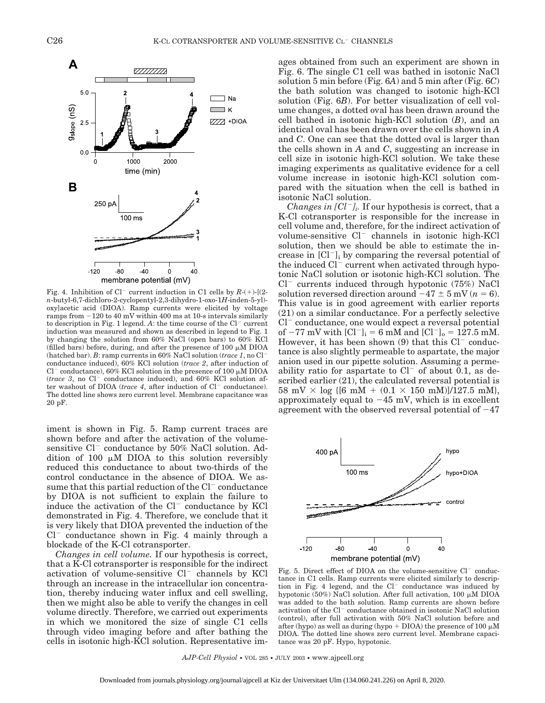

Fig. 4. Inhibition of  $Cl^-$  current induction in C1 cells by  $R-(+)$ - $[(2-)$ *n*-butyl-6,7-dichloro-2-cyclopentyl-2,3-dihydro-1-oxo-1*H*-inden-5-yl) oxy]acetic acid (DIOA). Ramp currents were elicited by voltage ramps from  $-120$  to  $40$  mV within  $400$  ms at  $10$ -s intervals similarly to description in Fig. 1 legend.  $A$ : the time course of the  $Cl^-$  current induction was measured and shown as described in legend to Fig. 1 by changing the solution from 60% NaCl (open bars) to 60% KCl (filled bars) before, during, and after the presence of  $100 \mu M$  DIOA (hatched bar). *B*: ramp currents in 60% NaCl solution (*trace 1*, no Cl conductance induced), 60% KCl solution (*trace 2*, after induction of  $Cl^-$  conductance), 60% KCl solution in the presence of 100  $\mu$ M DIOA  $(race 3, no Cl<sup>-</sup> conductance induced), and 60% KCl solution as$ ter washout of DIOA (*trace 4*, after induction of Cl<sup>-</sup> conductance). The dotted line shows zero current level. Membrane capacitance was 20 pF.

iment is shown in Fig. 5. Ramp current traces are shown before and after the activation of the volumesensitive  $Cl^-$  conductance by 50% NaCl solution. Addition of 100  $\mu$ M DIOA to this solution reversibly reduced this conductance to about two-thirds of the control conductance in the absence of DIOA. We assume that this partial reduction of the  $Cl^-$  conductance by DIOA is not sufficient to explain the failure to induce the activation of the  $Cl^-$  conductance by KCl demonstrated in Fig. 4. Therefore, we conclude that it is very likely that DIOA prevented the induction of the  $Cl^-$  conductance shown in Fig. 4 mainly through a blockade of the K-Cl cotransporter.

*Changes in cell volume.* If our hypothesis is correct, that a K-Cl cotransporter is responsible for the indirect activation of volume-sensitive  $Cl^-$  channels by KCl through an increase in the intracellular ion concentration, thereby inducing water influx and cell swelling, then we might also be able to verify the changes in cell volume directly. Therefore, we carried out experiments in which we monitored the size of single C1 cells through video imaging before and after bathing the cells in isotonic high-KCl solution. Representative images obtained from such an experiment are shown in Fig. 6. The single C1 cell was bathed in isotonic NaCl solution 5 min before (Fig. 6*A*) and 5 min after (Fig. 6*C*) the bath solution was changed to isotonic high-KCl solution (Fig. 6*B*). For better visualization of cell volume changes, a dotted oval has been drawn around the cell bathed in isotonic high-KCl solution (*B*), and an identical oval has been drawn over the cells shown in *A* and *C*. One can see that the dotted oval is larger than the cells shown in *A* and *C*, suggesting an increase in cell size in isotonic high-KCl solution. We take these imaging experiments as qualitative evidence for a cell volume increase in isotonic high-KCl solution compared with the situation when the cell is bathed in isotonic NaCl solution.

*Changes in*  $|Cl^{-1}$ *<sub>i</sub>.* If our hypothesis is correct, that a K-Cl cotransporter is responsible for the increase in cell volume and, therefore, for the indirect activation of volume-sensitive  $Cl^-$  channels in isotonic high-KCl solution, then we should be able to estimate the increase in  $\lbrack Cl^{-}\rbrack$  by comparing the reversal potential of the induced  $Cl^-$  current when activated through hypotonic NaCl solution or isotonic high-KCl solution. The  $Cl^-$  currents induced through hypotonic (75%) NaCl solution reversed direction around  $-47 \pm 5$  mV ( $n = 6$ ). This value is in good agreement with earlier reports (21) on a similar conductance. For a perfectly selective  $Cl^-$  conductance, one would expect a reversal potential of  $-77$  mV with  $[Cl^-]_i = 6$  mM and  $[Cl^-]_o = 127.5$  mM. However, it has been shown  $(9)$  that this  $Cl^-$  conductance is also slightly permeable to aspartate, the major anion used in our pipette solution. Assuming a permeability ratio for aspartate to  $Cl^-$  of about 0.1, as described earlier (21), the calculated reversal potential is 58 mV  $\times$  log {[6 mM + (0.1  $\times$  150 mM)]/127.5 mM}, approximately equal to  $-45$  mV, which is in excellent agreement with the observed reversal potential of  $-47$ 



membrane potential (mV)

Fig. 5. Direct effect of DIOA on the volume-sensitive  $Cl^-$  conductance in C1 cells. Ramp currents were elicited similarly to description in Fig. 4 legend, and the  $Cl^-$  conductance was induced by hypotonic (50%) NaCl solution. After full activation, 100  $\mu$ M DIOA was added to the bath solution. Ramp currents are shown before activation of the Cl<sup>-</sup> conductance obtained in isotonic NaCl solution (control), after full activation with 50% NaCl solution before and after (hypo) as well as during (hypo  $+$  DIOA) the presence of 100  $\mu$ M DIOA. The dotted line shows zero current level. Membrane capacitance was 20 pF. Hypo, hypotonic.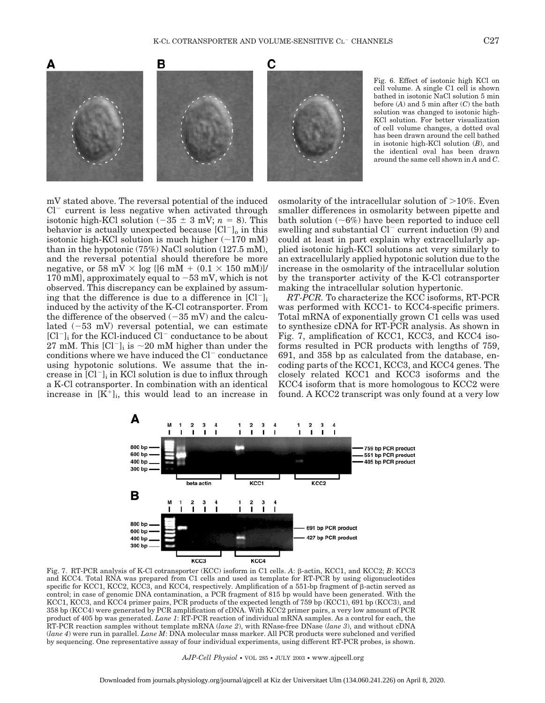

mV stated above. The reversal potential of the induced  $Cl^-$  current is less negative when activated through isotonic high-KCl solution  $(-35 \pm 3 \text{ mV}; n = 8)$ . This behavior is actually unexpected because  $|Cl^{-}$  in this isotonic high-KCl solution is much higher  $(\sim 170 \text{ mM})$ than in the hypotonic (75%) NaCl solution (127.5 mM), and the reversal potential should therefore be more negative, or 58 mV  $\times$  log {[6 mM + (0.1  $\times$  150 mM)]/ 170 mM, approximately equal to  $-53$  mV, which is not observed. This discrepancy can be explained by assuming that the difference is due to a difference in  $\left[\text{Cl}^-\right]_i$ induced by the activity of the K-Cl cotransporter. From the difference of the observed  $(-35 \text{ mV})$  and the calculated  $(-53 \, \text{mV})$  reversal potential, we can estimate  $[Cl^-]_i$  for the KCl-induced  $Cl^-$  conductance to be about 27 mM. This  $\text{[Cl}^{-}\text{]}$  is  $\sim$  20 mM higher than under the conditions where we have induced the  $Cl^-$  conductance using hypotonic solutions. We assume that the increase in  $\lbrack Cl^{-}\rbrack_i$  in KCl solution is due to influx through a K-Cl cotransporter. In combination with an identical increase in  $[K^+]_i$ , this would lead to an increase in osmolarity of the intracellular solution of  $>10\%$ . Even smaller differences in osmolarity between pipette and bath solution  $(~6%)$  have been reported to induce cell swelling and substantial  $Cl^-$  current induction (9) and could at least in part explain why extracellularly applied isotonic high-KCl solutions act very similarly to an extracellularly applied hypotonic solution due to the increase in the osmolarity of the intracellular solution by the transporter activity of the K-Cl cotransporter making the intracellular solution hypertonic.

*RT-PCR.* To characterize the KCC isoforms, RT-PCR was performed with KCC1- to KCC4-specific primers. Total mRNA of exponentially grown C1 cells was used to synthesize cDNA for RT-PCR analysis. As shown in Fig. 7, amplification of KCC1, KCC3, and KCC4 isoforms resulted in PCR products with lengths of 759, 691, and 358 bp as calculated from the database, encoding parts of the KCC1, KCC3, and KCC4 genes. The closely related KCC1 and KCC3 isoforms and the KCC4 isoform that is more homologous to KCC2 were found. A KCC2 transcript was only found at a very low



Fig. 7. RT-PCR analysis of K-Cl cotransporter (KCC) isoform in C1 cells. *A*: β-actin, KCC1, and KCC2; *B*: KCC3 and KCC4. Total RNA was prepared from C1 cells and used as template for RT-PCR by using oligonucleotides specific for KCC1, KCC2, KCC3, and KCC4, respectively. Amplification of a 551-bp fragment of  $\beta$ -actin served as control; in case of genomic DNA contamination, a PCR fragment of 815 bp would have been generated. With the KCC1, KCC3, and KCC4 primer pairs, PCR products of the expected length of 759 bp (KCC1), 691 bp (KCC3), and 358 bp (KCC4) were generated by PCR amplification of cDNA. With KCC2 primer pairs, a very low amount of PCR product of 405 bp was generated. *Lane 1*: RT-PCR reaction of individual mRNA samples. As a control for each, the RT-PCR reaction samples without template mRNA (*lane 2*), with RNase-free DNase (*lane 3*), and without cDNA (*lane 4*) were run in parallel. *Lane M*: DNA molecular mass marker. All PCR products were subcloned and verified by sequencing. One representative assay of four individual experiments, using different RT-PCR probes, is shown.

*AJP-Cell Physiol* • VOL 285 • JULY 2003 • www.ajpcell.org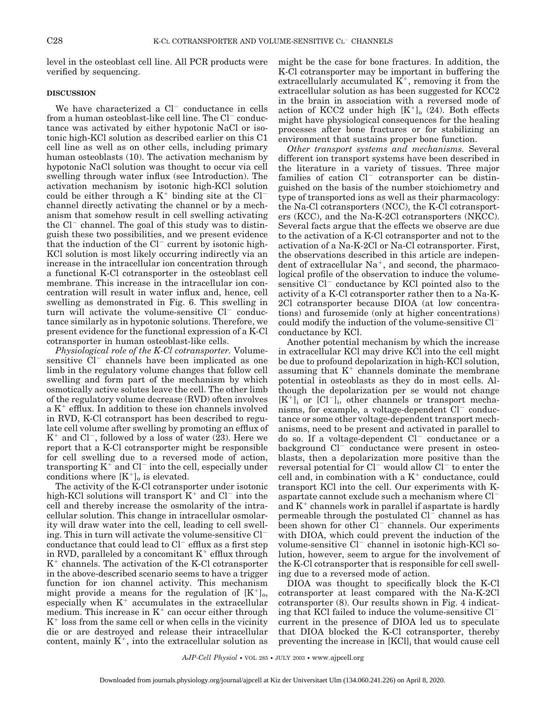level in the osteoblast cell line. All PCR products were verified by sequencing.

## **DISCUSSION**

We have characterized a  $Cl^-$  conductance in cells from a human osteoblast-like cell line. The  $Cl^-$  conductance was activated by either hypotonic NaCl or isotonic high-KCl solution as described earlier on this C1 cell line as well as on other cells, including primary human osteoblasts (10). The activation mechanism by hypotonic NaCl solution was thought to occur via cell swelling through water influx (see Introduction). The activation mechanism by isotonic high-KCl solution could be either through a  $K^+$  binding site at the Cl<sup>-</sup> channel directly activating the channel or by a mechanism that somehow result in cell swelling activating the  $Cl^-$  channel. The goal of this study was to distinguish these two possibilities, and we present evidence that the induction of the  $Cl^-$  current by isotonic high-KCl solution is most likely occurring indirectly via an increase in the intracellular ion concentration through a functional K-Cl cotransporter in the osteoblast cell membrane. This increase in the intracellular ion concentration will result in water influx and, hence, cell swelling as demonstrated in Fig. 6. This swelling in turn will activate the volume-sensitive  $Cl^-$  conductance similarly as in hypotonic solutions. Therefore, we present evidence for the functional expression of a K-Cl cotransporter in human osteoblast-like cells.

*Physiological role of the K-Cl cotransporter.* Volumesensitive  $Cl^-$  channels have been implicated as one limb in the regulatory volume changes that follow cell swelling and form part of the mechanism by which osmotically active solutes leave the cell. The other limb of the regulatory volume decrease (RVD) often involves a  $K^+$  efflux. In addition to these ion channels involved in RVD, K-Cl cotransport has been described to regulate cell volume after swelling by promoting an efflux of  $K^+$  and Cl<sup>-</sup>, followed by a loss of water (23). Here we report that a K-Cl cotransporter might be responsible for cell swelling due to a reversed mode of action, transporting  $K^+$  and  $Cl^-$  into the cell, especially under conditions where  $[K^+]_0$  is elevated.

The activity of the K-Cl cotransporter under isotonic high-KCl solutions will transport  $K^+$  and  $Cl^-$  into the cell and thereby increase the osmolarity of the intracellular solution. This change in intracellular osmolarity will draw water into the cell, leading to cell swelling. This in turn will activate the volume-sensitive Cl conductance that could lead to  $Cl^-$  efflux as a first step in RVD, paralleled by a concomitant  $K^+$  efflux through  $K^+$  channels. The activation of the K-Cl cotransporter in the above-described scenario seems to have a trigger function for ion channel activity. This mechanism might provide a means for the regulation of  $[K^+]_0$ , especially when  $K^+$  accumulates in the extracellular medium. This increase in  $K^+$  can occur either through  $K<sup>+</sup>$  loss from the same cell or when cells in the vicinity die or are destroyed and release their intracellular content, mainly  $K^+$ , into the extracellular solution as might be the case for bone fractures. In addition, the K-Cl cotransporter may be important in buffering the extracellularly accumulated  $K^+$ , removing it from the extracellular solution as has been suggested for KCC2 in the brain in association with a reversed mode of action of KCC2 under high  $[K^+]_0$  (24). Both effects might have physiological consequences for the healing processes after bone fractures or for stabilizing an environment that sustains proper bone function.

*Other transport systems and mechanisms.* Several different ion transport systems have been described in the literature in a variety of tissues. Three major families of cation  $Cl^-$  cotransporter can be distinguished on the basis of the number stoichiometry and type of transported ions as well as their pharmacology: the Na-Cl cotransporters (NCC), the K-Cl cotransporters (KCC), and the Na-K-2Cl cotransporters (NKCC). Several facts argue that the effects we observe are due to the activation of a K-Cl cotransporter and not to the activation of a Na-K-2Cl or Na-Cl cotransporter. First, the observations described in this article are independent of extracellular  $Na^+$ , and second, the pharmacological profile of the observation to induce the volumesensitive  $Cl^-$  conductance by KCl pointed also to the activity of a K-Cl cotransporter rather then to a Na-K-2Cl cotransporter because DIOA (at low concentrations) and furosemide (only at higher concentrations) could modify the induction of the volume-sensitive Cl conductance by KCl.

Another potential mechanism by which the increase in extracellular KCl may drive KCl into the cell might be due to profound depolarization in high-KCl solution, assuming that  $K^+$  channels dominate the membrane potential in osteoblasts as they do in most cells. Although the depolarization per se would not change  $[K^+]$  or  $[Cl^-]$ , other channels or transport mechanisms, for example, a voltage-dependent  $Cl^-$  conductance or some other voltage-dependent transport mechanisms, need to be present and activated in parallel to do so. If a voltage-dependent  $Cl^-$  conductance or a background  $Cl^-$  conductance were present in osteoblasts, then a depolarization more positive than the reversal potential for  $Cl^-$  would allow  $Cl^-$  to enter the cell and, in combination with a  $K^+$  conductance, could transport KCl into the cell. Our experiments with Kaspartate cannot exclude such a mechanism where Cl and  $K^+$  channels work in parallel if aspartate is hardly permeable through the postulated  $Cl^-$  channel as has been shown for other  $Cl^-$  channels. Our experiments with DIOA, which could prevent the induction of the volume-sensitive  $Cl^-$  channel in isotonic high-KCl solution, however, seem to argue for the involvement of the K-Cl cotransporter that is responsible for cell swelling due to a reversed mode of action.

DIOA was thought to specifically block the K-Cl cotransporter at least compared with the Na-K-2Cl cotransporter (8). Our results shown in Fig. 4 indicating that KCl failed to induce the volume-sensitive Cl current in the presence of DIOA led us to speculate that DIOA blocked the K-Cl cotransporter, thereby preventing the increase in [KCl]i that would cause cell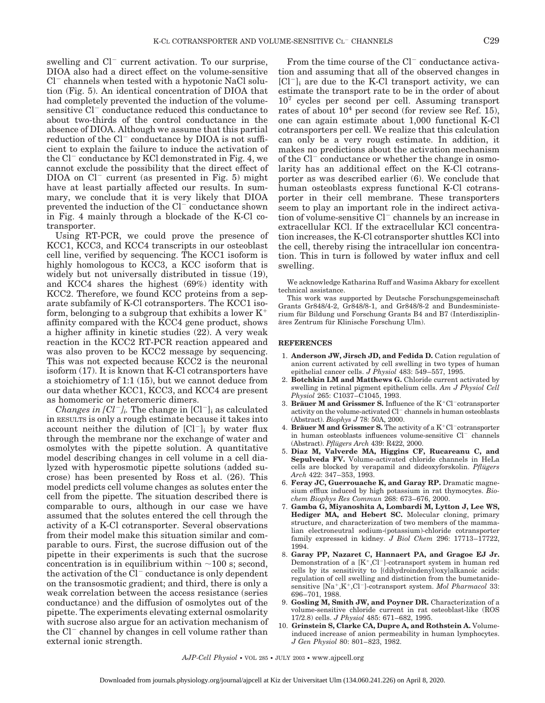swelling and  $Cl^-$  current activation. To our surprise, DIOA also had a direct effect on the volume-sensitive  $Cl^-$  channels when tested with a hypotonic NaCl solution (Fig. 5). An identical concentration of DIOA that had completely prevented the induction of the volumesensitive  $Cl^-$  conductance reduced this conductance to about two-thirds of the control conductance in the absence of DIOA. Although we assume that this partial reduction of the  $Cl^-$  conductance by DIOA is not sufficient to explain the failure to induce the activation of the  $Cl^-$  conductance by KCl demonstrated in Fig. 4, we cannot exclude the possibility that the direct effect of  $DIOA$  on  $Cl^-$  current (as presented in Fig. 5) might have at least partially affected our results. In summary, we conclude that it is very likely that DIOA prevented the induction of the  $Cl<sup>-</sup>$  conductance shown in Fig. 4 mainly through a blockade of the K-Cl cotransporter.

Using RT-PCR, we could prove the presence of KCC1, KCC3, and KCC4 transcripts in our osteoblast cell line, verified by sequencing. The KCC1 isoform is highly homologous to KCC3, a KCC isoform that is widely but not universally distributed in tissue (19), and KCC4 shares the highest (69%) identity with KCC2. Therefore, we found KCC proteins from a separate subfamily of K-Cl cotransporters. The KCC1 isoform, belonging to a subgroup that exhibits a lower  $K^+$ affinity compared with the KCC4 gene product, shows a higher affinity in kinetic studies (22). A very weak reaction in the KCC2 RT-PCR reaction appeared and was also proven to be KCC2 message by sequencing. This was not expected because KCC2 is the neuronal isoform (17). It is known that K-Cl cotransporters have a stoichiometry of 1:1 (15), but we cannot deduce from our data whether KCC1, KCC3, and KCC4 are present as homomeric or heteromeric dimers.

*Changes in*  $|Cl^{-}$ *]*. The change in  $|Cl^{-}$ ] as calculated in RESULTS is only a rough estimate because it takes into account neither the dilution of  $|Cl^{-}|$  by water flux through the membrane nor the exchange of water and osmolytes with the pipette solution. A quantitative model describing changes in cell volume in a cell dialyzed with hyperosmotic pipette solutions (added sucrose) has been presented by Ross et al. (26). This model predicts cell volume changes as solutes enter the cell from the pipette. The situation described there is comparable to ours, although in our case we have assumed that the solutes entered the cell through the activity of a K-Cl cotransporter. Several observations from their model make this situation similar and comparable to ours. First, the sucrose diffusion out of the pipette in their experiments is such that the sucrose concentration is in equilibrium within  $\sim$ 100 s; second, the activation of the  $Cl^-$  conductance is only dependent on the transosmotic gradient; and third, there is only a weak correlation between the access resistance (series conductance) and the diffusion of osmolytes out of the pipette. The experiments elevating external osmolarity with sucrose also argue for an activation mechanism of the  $Cl^-$  channel by changes in cell volume rather than external ionic strength.

From the time course of the  $Cl^-$  conductance activation and assuming that all of the observed changes in  $[Cl^-]_i$  are due to the K-Cl transport activity, we can estimate the transport rate to be in the order of about  $10<sup>7</sup>$  cycles per second per cell. Assuming transport rates of about  $10<sup>4</sup>$  per second (for review see Ref. 15), one can again estimate about 1,000 functional K-Cl cotransporters per cell. We realize that this calculation can only be a very rough estimate. In addition, it makes no predictions about the activation mechanism of the  $Cl^-$  conductance or whether the change in osmolarity has an additional effect on the K-Cl cotransporter as was described earlier (6). We conclude that human osteoblasts express functional K-Cl cotransporter in their cell membrane. These transporters seem to play an important role in the indirect activation of volume-sensitive  $Cl^-$  channels by an increase in extracellular KCl. If the extracellular KCl concentration increases, the K-Cl cotransporter shuttles KCl into the cell, thereby rising the intracellular ion concentration. This in turn is followed by water influx and cell swelling.

We acknowledge Katharina Ruff and Wasima Akbary for excellent technical assistance.

This work was supported by Deutsche Forschungsgemeinschaft Grants Gr848/4-2, Gr848/8-1, and Gr848/8-2 and Bundesministerium für Bildung und Forschung Grants B4 and B7 (Interdisziplinäres Zentrum für Klinische Forschung Ulm).

#### **REFERENCES**

- 1. **Anderson JW, Jirsch JD, and Fedida D.** Cation regulation of anion current activated by cell swelling in two types of human epithelial cancer cells. *J Physiol* 483: 549–557, 1995.
- 2. **Botchkin LM and Matthews G.** Chloride current activated by swelling in retinal pigment epithelium cells. *Am J Physiol Cell Physiol* 265: C1037–C1045, 1993.
- 3. **Bräuer M and Grissmer S.** Influence of the  $K^+Cl^-$  cotransporter activity on the volume-activated  $Cl^-$  channels in human osteoblasts (Abstract). *Biophys J* 78: 50A, 2000.
- 4. **Bräuer M and Grissmer S.** The activity of a  $K^+Cl^-$  cotransporter in human osteoblasts influences volume-sensitive  $Cl^-$  channels (Abstract). *Pflügers Arch* 439: R422, 2000.
- 5. **Diaz M, Valverde MA, Higgins CF, Rucareanu C, and Sepulveda FV.** Volume-activated chloride channels in HeLa cells are blocked by verapamil and dideoxyforskolin. *Pflügers Arch* 422: 347–353, 1993.
- 6. **Feray JC, Guerrouache K, and Garay RP.** Dramatic magnesium efflux induced by high potassium in rat thymocytes. *Biochem Biophys Res Commun* 268: 673–676, 2000.
- 7. **Gamba G, Miyanoshita A, Lombardi M, Lytton J, Lee WS,** Hediger MA, and Hebert SC. Molecular cloning, primary structure, and characterization of two members of the mammalian electroneutral sodium-(potassium)-chloride cotransporter family expressed in kidney. *J Biol Chem* 296: 17713–17722, 1994.
- 8. **Garay PP, Nazaret C, Hannaert PA, and Gragoe EJ Jr.** Demonstration of a  $[K^+, Cl^-]$ -cotransport system in human red cells by its sensitivity to [(dihydroindenyl)oxy]alkanoic acids: regulation of cell swelling and distinction from the bumetanidesensitive [Na<sup>+</sup>,K<sup>+</sup>,Cl<sup>-</sup>]-cotransport system. *Mol Pharmacol* 33: 696–701, 1988.
- 9. **Gosling M, Smith JW, and Poyner DR.** Characterization of a volume-sensitive chloride current in rat osteoblast-like (ROS 17/2.8) cells. *J Physiol* 485: 671–682, 1995.
- 10. **Grinstein S, Clarke CA, Dupre A, and Rothstein A.** Volumeinduced increase of anion permeability in human lymphocytes. *J Gen Physiol* 80: 801–823, 1982.